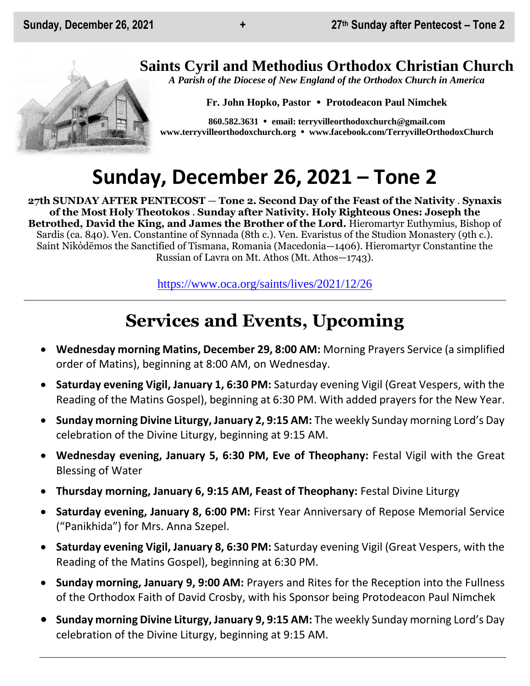## **Saints Cyril and Methodius Orthodox Christian Church**

*A Parish of the Diocese of New England of the Orthodox Church in America*

**Fr. John Hopko, Pastor Protodeacon Paul Nimchek**

**860.582.3631 email: [terryvilleorthodoxchurch@gmail.com](mailto:saintcyril@snet.net) [www.terryvilleorthodoxchurch.org](http://www.terryvilleorthodoxchurch.org/) [www.facebook.com/TerryvilleOrthodoxChurch](http://www.facebook.com/TerryvilleOrthodoxChurch)**

# **Sunday, December 26, 2021 – Tone 2**

**27th SUNDAY AFTER PENTECOST** — **Tone 2. Second Day of the Feast of the Nativity** . **Synaxis of the Most Holy Theotokos** . **Sunday after Nativity. Holy Righteous Ones: Joseph the Betrothed, David the King, and James the Brother of the Lord.** Hieromartyr Euthymius, Bishop of Sardis (ca. 840). Ven. Constantine of Synnada (8th c.). Ven. Evaristus of the Studion Monastery (9th c.). Saint Νikόdēmos the Sanctified of Tismana, Romania (Macedonia—1406). Hieromartyr Constantine the Russian of Lavra on Mt. Athos (Mt. Athos—1743).

<https://www.oca.org/saints/lives/2021/12/26>

# **Services and Events, Upcoming**

- **Wednesday morning Matins, December 29, 8:00 AM:** Morning Prayers Service (a simplified order of Matins), beginning at 8:00 AM, on Wednesday.
- **Saturday evening Vigil, January 1, 6:30 PM:** Saturday evening Vigil (Great Vespers, with the Reading of the Matins Gospel), beginning at 6:30 PM. With added prayers for the New Year.
- **Sunday morning Divine Liturgy, January 2, 9:15 AM:** The weekly Sunday morning Lord's Day celebration of the Divine Liturgy, beginning at 9:15 AM.
- **Wednesday evening, January 5, 6:30 PM, Eve of Theophany:** Festal Vigil with the Great Blessing of Water
- **Thursday morning, January 6, 9:15 AM, Feast of Theophany:** Festal Divine Liturgy
- **Saturday evening, January 8, 6:00 PM:** First Year Anniversary of Repose Memorial Service ("Panikhida") for Mrs. Anna Szepel.
- **Saturday evening Vigil, January 8, 6:30 PM:** Saturday evening Vigil (Great Vespers, with the Reading of the Matins Gospel), beginning at 6:30 PM.
- **Sunday morning, January 9, 9:00 AM:** Prayers and Rites for the Reception into the Fullness of the Orthodox Faith of David Crosby, with his Sponsor being Protodeacon Paul Nimchek
- **Sunday morning Divine Liturgy, January 9, 9:15 AM:** The weekly Sunday morning Lord's Day celebration of the Divine Liturgy, beginning at 9:15 AM.

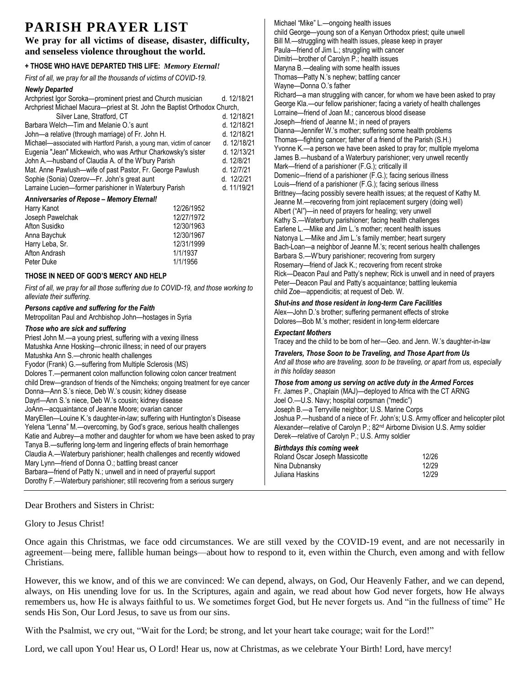## **PARISH PRAYER LIST**

**We pray for all victims of disease, disaster, difficulty, and senseless violence throughout the world.**

### **+ THOSE WHO HAVE DEPARTED THIS LIFE:** *Memory Eternal!*

*First of all, we pray for all the thousands of victims of COVID-19.* 

#### *Newly Departed*

| <b>Newly Departed</b>                                                                                             |            |             |
|-------------------------------------------------------------------------------------------------------------------|------------|-------------|
| Archpriest Igor Soroka-prominent priest and Church musician                                                       |            | d. 12/18/21 |
| Archpriest Michael Macura-priest at St. John the Baptist Orthodox Church,                                         |            |             |
| Silver Lane, Stratford, CT                                                                                        |            | d. 12/18/21 |
| Barbara Welch-Tim and Melanie O.'s aunt                                                                           |            | d. 12/18/21 |
| John-a relative (through marriage) of Fr. John H.                                                                 |            | d. 12/18/21 |
| Michael-associated with Hartford Parish, a young man, victim of cancer                                            |            | d. 12/18/21 |
| Eugenia "Jean" Mickewich, who was Arthur Charkowsky's sister<br>d. 12/13/21                                       |            |             |
| John A.—husband of Claudia A. of the W'bury Parish<br>d. 12/8/21                                                  |            |             |
| Mat. Anne Pawlush—wife of past Pastor, Fr. George Pawlush<br>d. 12/7/21                                           |            |             |
| Sophie (Sonia) Ozerov-Fr. John's great aunt                                                                       |            | d. 12/2/21  |
| Larraine Lucien-former parishioner in Waterbury Parish                                                            |            | d. 11/19/21 |
| <b>Anniversaries of Repose - Memory Eternal!</b>                                                                  |            |             |
| Harry Kanot                                                                                                       | 12/26/1952 |             |
| Joseph Pawelchak                                                                                                  | 12/27/1972 |             |
| Afton Susidko                                                                                                     | 12/30/1963 |             |
| Anna Baychuk                                                                                                      | 12/30/1967 |             |
| Harry Leba, Sr.                                                                                                   | 12/31/1999 |             |
| Afton Andrash                                                                                                     | 1/1/1937   |             |
| Peter Duke                                                                                                        | 1/1/1956   |             |
| THOSE IN NEED OF GOD'S MERCY AND HELP                                                                             |            |             |
| First of all, we pray for all those suffering due to COVID-19, and those working to<br>alleviate their suffering. |            |             |
| Persons captive and suffering for the Faith                                                                       |            |             |
| Metropolitan Paul and Archbishop John-hostages in Syria                                                           |            |             |
| Those who are sick and suffering                                                                                  |            |             |
| Priest John M.—a young priest, suffering with a vexing illness                                                    |            |             |
| Matushka Anne Hosking—chronic illness; in need of our prayers                                                     |            |             |
| Matushka Ann S.-chronic health challenges                                                                         |            |             |
| Fyodor (Frank) G.-suffering from Multiple Sclerosis (MS)                                                          |            |             |
| Dolores T.--permanent colon malfunction following colon cancer treatment                                          |            |             |
| child Drew-grandson of friends of the Nimcheks; ongoing treatment for eye cancer                                  |            |             |
| Donna-Ann S.'s niece, Deb W.'s cousin; kidney disease                                                             |            |             |
| Davrl—Ann S.'s niece. Deb W.'s cousin: kidney disease                                                             |            |             |

Michael "Mike" L.—ongoing health issues child George—young son of a Kenyan Orthodox priest; quite unwell Bill M.—struggling with health issues, please keep in prayer Paula—friend of Jim L.; struggling with cancer Dimitri—brother of Carolyn P.; health issues Maryna B.—dealing with some health issues Thomas—Patty N.'s nephew; battling cancer Wayne—Donna O.'s father chard—a man struggling with cancer, for whom we have been asked to pray eorge Kla.—our fellow parishioner; facing a variety of health challenges rraine—friend of Joan M.; cancerous blood disease seph—friend of Jeanne M.; in need of prayers anna—Jennifer W.'s mother; suffering some health problems omas—fighting cancer; father of a friend of the Parish (S.H.) onne K.—a person we have been asked to pray for; multiple myeloma mes B.—husband of a Waterbury parishioner; very unwell recently ark—friend of a parishioner (F.G.); critically ill omenic—friend of a parishioner (F.G.); facing serious illness uis—friend of a parishioner (F.G.); facing serious illness ittney—facing possibly severe health issues; at the request of Kathy M. anne M.—recovering from joint replacement surgery (doing well) bert ("Al")—in need of prayers for healing; very unwell thy S.—Waterbury parishioner; facing health challenges rlene L.—Mike and Jim L.'s mother; recent health issues tonya L.—Mike and Jim L.'s family member; heart surgery ch-Loan—a neighbor of Jeanne M.'s; recent serious health challenges rbara S.—W'bury parishioner; recovering from surgery semary—friend of Jack K.; recovering from recent stroke ck—Deacon Paul and Patty's nephew; Rick is unwell and in need of prayers ter—Deacon Paul and Patty's acquaintance; battling leukemia ild Zoe—appendicitis; at request of Deb. W. *Shut-ins and those resident in long-term Care Facilities* ex—John D.'s brother; suffering permanent effects of stroke lores—Bob M.'s mother; resident in long-term eldercare

#### *Expectant Mothers*

acey and the child to be born of her—Geo. and Jenn. W.'s daughter-in-law

*Travelers, Those Soon to be Traveling, and Those Apart from Us And all those who are traveling, soon to be traveling, or apart from us, especially in this holiday season*

#### *Those from among us serving on active duty in the Armed Forces*

James P., Chaplain (MAJ)—deployed to Africa with the CT ARNG Joel O.—U.S. Navy; hospital corpsman ("medic") Joseph B.—a Terryville neighbor; U.S. Marine Corps Joshua P.—husband of a niece of Fr. John's; U.S. Army officer and helicopter pilot Alexander—relative of Carolyn P.; 82nd Airborne Division U.S. Army soldier Derek—relative of Carolyn P.; U.S. Army soldier

#### *Birthdays this coming week*

| Roland Oscar Joseph Massicotte | 12/26 |
|--------------------------------|-------|
| Nina Dubnansky                 | 12/29 |
| Juliana Haskins                | 12/29 |
|                                |       |

Dear Brothers and Sisters in Christ:

JoAnn—acquaintance of Jeanne Moore; ovarian cancer

Mary Lynn—friend of Donna O.; battling breast cancer

Barbara—friend of Patty N.; unwell and in need of prayerful support Dorothy F.—Waterbury parishioner; still recovering from a serious surgery

MaryEllen—Louine K.'s daughter-in-law; suffering with Huntington's Disease Yelena "Lenna" M.—overcoming, by God's grace, serious health challenges Katie and Aubrey—a mother and daughter for whom we have been asked to pray Tanya B.—suffering long-term and lingering effects of brain hemorrhage Claudia A.—Waterbury parishioner; health challenges and recently widowed

Glory to Jesus Christ!

Once again this Christmas, we face odd circumstances. We are still vexed by the COVID-19 event, and are not necessarily in agreement—being mere, fallible human beings—about how to respond to it, even within the Church, even among and with fellow Christians.

However, this we know, and of this we are convinced: We can depend, always, on God, Our Heavenly Father, and we can depend, always, on His unending love for us. In the Scriptures, again and again, we read about how God never forgets, how He always remembers us, how He is always faithful to us. We sometimes forget God, but He never forgets us. And "in the fullness of time" He sends His Son, Our Lord Jesus, to save us from our sins.

With the Psalmist, we cry out, "Wait for the Lord; be strong, and let your heart take courage; wait for the Lord!"

Lord, we call upon You! Hear us, O Lord! Hear us, now at Christmas, as we celebrate Your Birth! Lord, have mercy!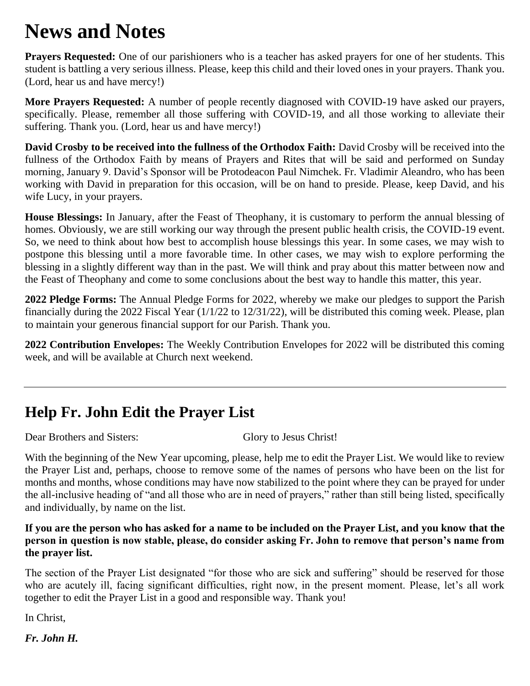# **News and Notes**

**Prayers Requested:** One of our parishioners who is a teacher has asked prayers for one of her students. This student is battling a very serious illness. Please, keep this child and their loved ones in your prayers. Thank you. (Lord, hear us and have mercy!)

**More Prayers Requested:** A number of people recently diagnosed with COVID-19 have asked our prayers, specifically. Please, remember all those suffering with COVID-19, and all those working to alleviate their suffering. Thank you. (Lord, hear us and have mercy!)

**David Crosby to be received into the fullness of the Orthodox Faith:** David Crosby will be received into the fullness of the Orthodox Faith by means of Prayers and Rites that will be said and performed on Sunday morning, January 9. David's Sponsor will be Protodeacon Paul Nimchek. Fr. Vladimir Aleandro, who has been working with David in preparation for this occasion, will be on hand to preside. Please, keep David, and his wife Lucy, in your prayers.

**House Blessings:** In January, after the Feast of Theophany, it is customary to perform the annual blessing of homes. Obviously, we are still working our way through the present public health crisis, the COVID-19 event. So, we need to think about how best to accomplish house blessings this year. In some cases, we may wish to postpone this blessing until a more favorable time. In other cases, we may wish to explore performing the blessing in a slightly different way than in the past. We will think and pray about this matter between now and the Feast of Theophany and come to some conclusions about the best way to handle this matter, this year.

**2022 Pledge Forms:** The Annual Pledge Forms for 2022, whereby we make our pledges to support the Parish financially during the 2022 Fiscal Year (1/1/22 to 12/31/22), will be distributed this coming week. Please, plan to maintain your generous financial support for our Parish. Thank you.

**2022 Contribution Envelopes:** The Weekly Contribution Envelopes for 2022 will be distributed this coming week, and will be available at Church next weekend.

## **Help Fr. John Edit the Prayer List**

Dear Brothers and Sisters: Glory to Jesus Christ!

With the beginning of the New Year upcoming, please, help me to edit the Prayer List. We would like to review the Prayer List and, perhaps, choose to remove some of the names of persons who have been on the list for months and months, whose conditions may have now stabilized to the point where they can be prayed for under the all-inclusive heading of "and all those who are in need of prayers," rather than still being listed, specifically and individually, by name on the list.

**If you are the person who has asked for a name to be included on the Prayer List, and you know that the person in question is now stable, please, do consider asking Fr. John to remove that person's name from the prayer list.**

The section of the Prayer List designated "for those who are sick and suffering" should be reserved for those who are acutely ill, facing significant difficulties, right now, in the present moment. Please, let's all work together to edit the Prayer List in a good and responsible way. Thank you!

In Christ,

*Fr. John H.*